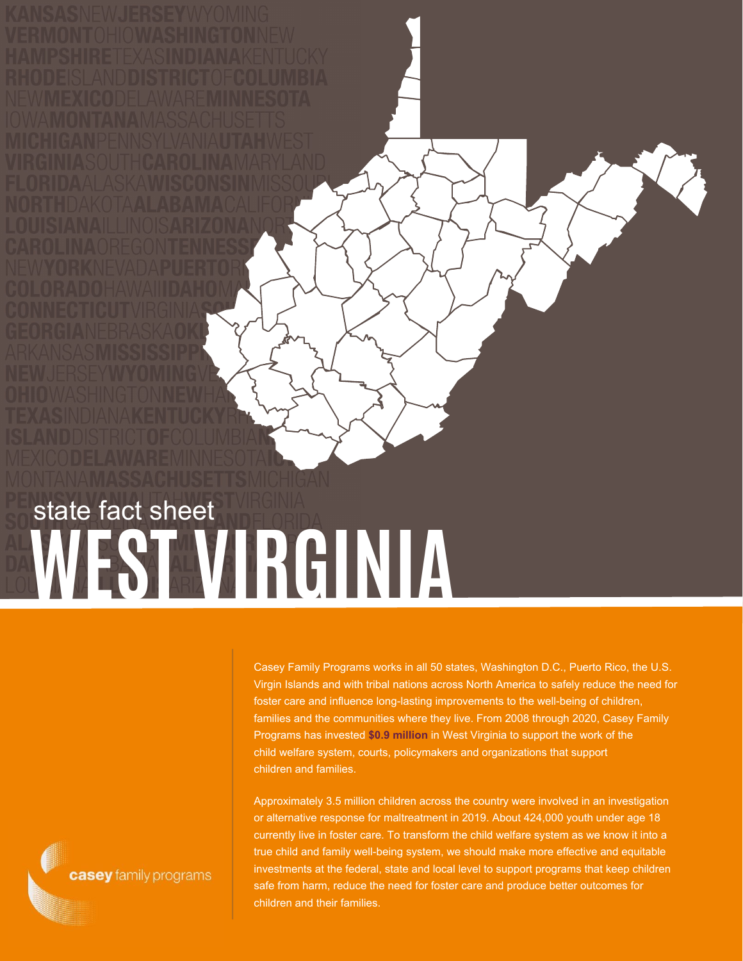## **WEST VIRGINIA** state fact sheet

Casey Family Programs works in all 50 states, Washington D.C., Puerto Rico, the U.S. Virgin Islands and with tribal nations across North America to safely reduce the need for foster care and influence long-lasting improvements to the well-being of children, families and the communities where they live. From 2008 through 2020, Casey Family Programs has invested **\$0.9 million** in West Virginia to support the work of the child welfare system, courts, policymakers and organizations that support children and families.

Approximately 3.5 million children across the country were involved in an investigation or alternative response for maltreatment in 2019. About 424,000 youth under age 18 currently live in foster care. To transform the child welfare system as we know it into a true child and family well-being system, we should make more effective and equitable investments at the federal, state and local level to support programs that keep children safe from harm, reduce the need for foster care and produce better outcomes for children and their families.

casey family programs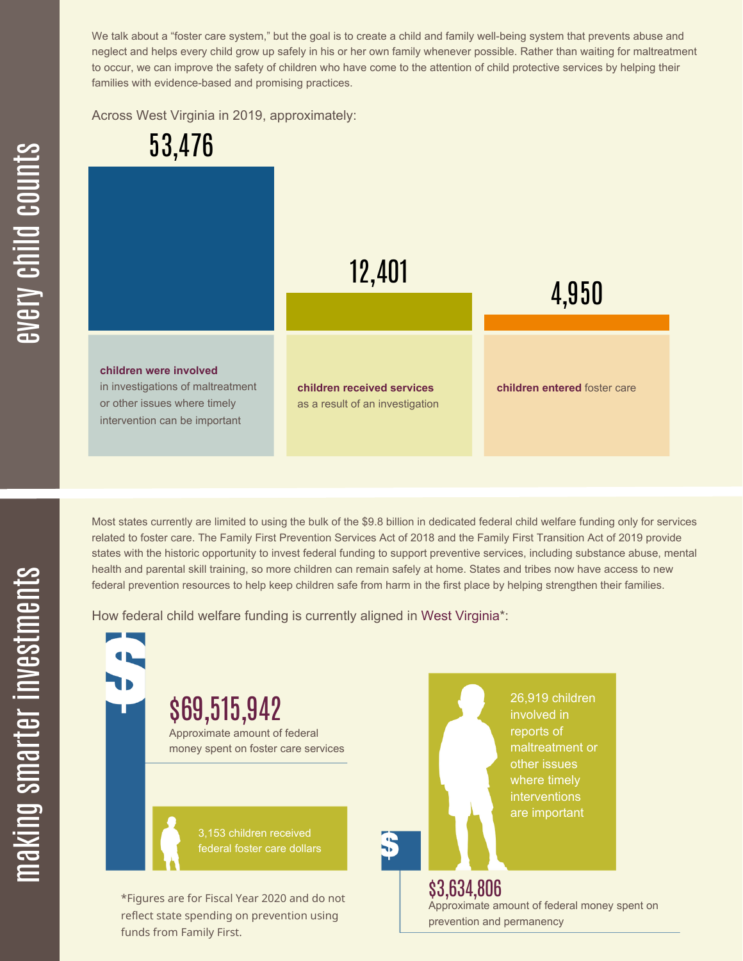We talk about a "foster care system," but the goal is to create a child and family well-being system that prevents abuse and neglect and helps every child grow up safely in his or her own family whenever possible. Rather than waiting for maltreatment to occur, we can improve the safety of children who have come to the attention of child protective services by helping their families with evidence-based and promising practices.

Across West Virginia in 2019, approximately:



Most states currently are limited to using the bulk of the \$9.8 billion in dedicated federal child welfare funding only for services related to foster care. The Family First Prevention Services Act of 2018 and the Family First Transition Act of 2019 provide states with the historic opportunity to invest federal funding to support preventive services, including substance abuse, mental health and parental skill training, so more children can remain safely at home. States and tribes now have access to new federal prevention resources to help keep children safe from harm in the first place by helping strengthen their families.

How federal child welfare funding is currently aligned in West Virginia\*:



æ  $\geq$ c  $\bf \Xi$ c

hild

c $\bigcirc$ <u>u</u>  $\blacksquare$  $\mathbf{S}$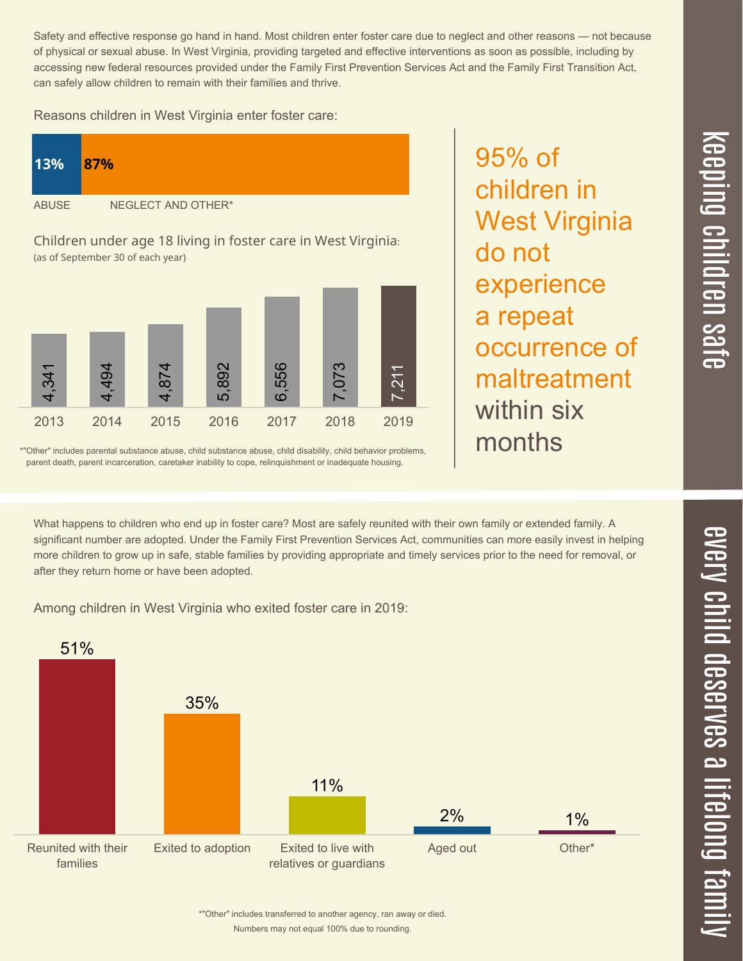Numbers may not equal 100% due to rounding. \*"Other" includes transferred to another agency, ran away or died.

Safety and effective response go hand in hand. Most children enter foster care due to neglect and other reasons — not because of physical or sexual abuse. In West Virginia, providing targeted and effective interventions as soon as possible, including by accessing new federal resources provided under the Family First Prevention Services Act and the Family First Transition Act, can safely allow children to remain with their families and thrive.

Reasons children in West Virginia enter foster care:

| 13%          | 87%                |
|--------------|--------------------|
| <b>ABUSE</b> | NEGLECT AND OTHER* |

Children under age 18 living in foster care in West Virginia: (as of September 30 of each year)



\*"Other" includes parental substance abuse, child substance abuse, child disability, child behavior problems, parent death, parent incarceration, caretaker inability to cope, relinquishment or inadequate housing.

What happens to children who end up in foster care? Most are safely reunited with their own family or extended family. A significant number are adopted. Under the Family First Prevention Services Act, communities can more easily invest in helping more children to grow up in safe, stable families by providing appropriate and timely services prior to the need for removal, or after they return home or have been adopted.

Among children in West Virginia who exited foster care in 2019:



 $\overline{\mathbf{C}}$  $\leq$  $\overline{\mathbf{C}}$  $\overline{\mathsf{Z}}$  $\overline{\mathbf{C}}$ 

 $\equiv$ 

 $\blacksquare$ e  $\boldsymbol{\mathcal{C}}$  $\overline{\mathbf{C}}$  $\overline{\phantom{a}}$  $\overline{\mathbf{C}}$  $\mathcal{C}$ <u>م</u>

 $\equiv$ 

el<br>O  $\overline{\phantom{0}}$  $\blacksquare$ 

t<br>B

mily

children in West Virginia do not experience a repeat occurrence of maltreatment within six months

95% of